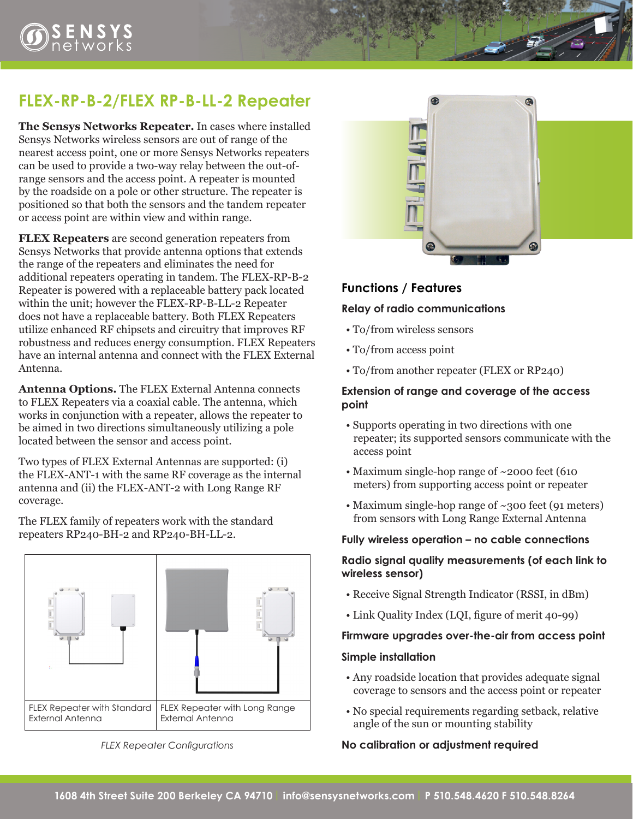# **FLEX-RP-B-2/FLEX RP-B-LL-2 Repeater**

**The Sensys Networks Repeater.** In cases where installed Sensys Networks wireless sensors are out of range of the nearest access point, one or more Sensys Networks repeaters can be used to provide a two-way relay between the out-ofrange sensors and the access point. A repeater is mounted by the roadside on a pole or other structure. The repeater is positioned so that both the sensors and the tandem repeater or access point are within view and within range.

**FLEX Repeaters** are second generation repeaters from Sensys Networks that provide antenna options that extends the range of the repeaters and eliminates the need for additional repeaters operating in tandem. The FLEX-RP-B-2 Repeater is powered with a replaceable battery pack located within the unit; however the FLEX-RP-B-LL-2 Repeater does not have a replaceable battery. Both FLEX Repeaters utilize enhanced RF chipsets and circuitry that improves RF robustness and reduces energy consumption. FLEX Repeaters have an internal antenna and connect with the FLEX External Antenna.

**Antenna Options.** The FLEX External Antenna connects to FLEX Repeaters via a coaxial cable. The antenna, which works in conjunction with a repeater, allows the repeater to be aimed in two directions simultaneously utilizing a pole located between the sensor and access point.

Two types of FLEX External Antennas are supported: (i) the FLEX-ANT-1 with the same RF coverage as the internal antenna and (ii) the FLEX-ANT-2 with Long Range RF coverage.

The FLEX family of repeaters work with the standard repeaters RP240-BH-2 and RP240-BH-LL-2.



*FLEX Repeater Configurations*



# **Functions / Features**

#### **Relay of radio communications**

- To/from wireless sensors
- To/from access point
- To/from another repeater (FLEX or RP240)

#### **Extension of range and coverage of the access point**

- Supports operating in two directions with one repeater; its supported sensors communicate with the access point
- Maximum single-hop range of ~2000 feet (610 meters) from supporting access point or repeater
- Maximum single-hop range of ~300 feet (91 meters) from sensors with Long Range External Antenna

#### **Fully wireless operation – no cable connections**

### **Radio signal quality measurements (of each link to wireless sensor)**

- Receive Signal Strength Indicator (RSSI, in dBm)
- Link Quality Index (LQI, figure of merit 40-99)

#### **Firmware upgrades over-the-air from access point**

#### **Simple installation**

- Any roadside location that provides adequate signal coverage to sensors and the access point or repeater
- No special requirements regarding setback, relative angle of the sun or mounting stability

#### **No calibration or adjustment required**